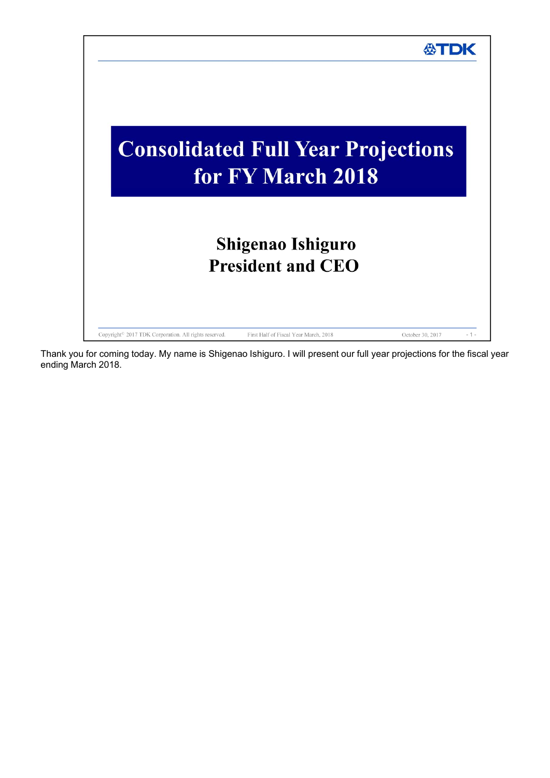

Thank you for coming today. My name is Shigenao Ishiguro. I will present our full year projections for the fiscal year ending March 2018.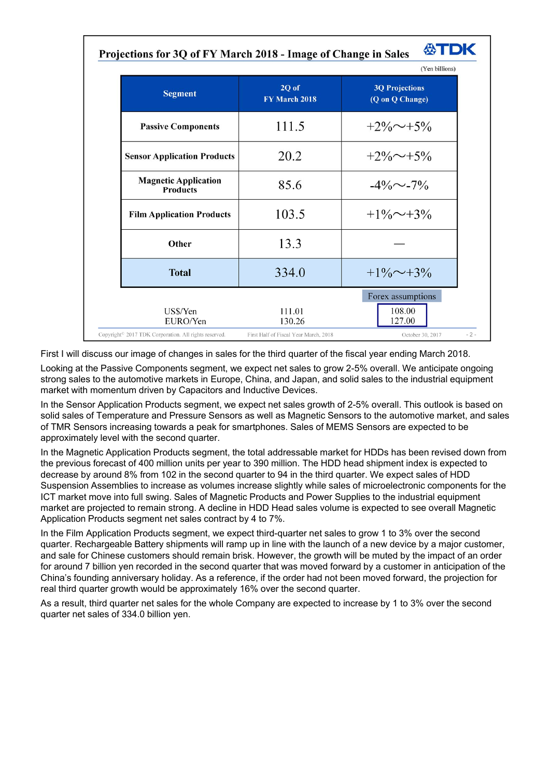| Projections for 3Q of FY March 2018 - Image of Change in Sales 47 TDK |  |  |
|-----------------------------------------------------------------------|--|--|
|-----------------------------------------------------------------------|--|--|

|                        | (Yen billions)                           |
|------------------------|------------------------------------------|
| 2Q of<br>FY March 2018 | <b>3Q Projections</b><br>(Q on Q Change) |
| 111.5                  | $+2\% \sim +5\%$                         |
| 20.2                   | $+2\% \sim +5\%$                         |
| 85.6                   | $-4\%$ ~-7%                              |
| 103.5                  | $+1\% \sim +3\%$                         |
| 13.3                   |                                          |
| 334.0                  | $+1\% \sim +3\%$                         |
| 111.01<br>130.26       | Forex assumptions<br>108.00<br>127.00    |
|                        |                                          |

First I will discuss our image of changes in sales for the third quarter of the fiscal year ending March 2018.

Looking at the Passive Components segment, we expect net sales to grow 2-5% overall. We anticipate ongoing strong sales to the automotive markets in Europe, China, and Japan, and solid sales to the industrial equipment market with momentum driven by Capacitors and Inductive Devices.

In the Sensor Application Products segment, we expect net sales growth of 2-5% overall. This outlook is based on solid sales of Temperature and Pressure Sensors as well as Magnetic Sensors to the automotive market, and sales of TMR Sensors increasing towards a peak for smartphones. Sales of MEMS Sensors are expected to be approximately level with the second quarter.

In the Magnetic Application Products segment, the total addressable market for HDDs has been revised down from the previous forecast of 400 million units per year to 390 million. The HDD head shipment index is expected to decrease by around 8% from 102 in the second quarter to 94 in the third quarter. We expect sales of HDD Suspension Assemblies to increase as volumes increase slightly while sales of microelectronic components for the ICT market move into full swing. Sales of Magnetic Products and Power Supplies to the industrial equipment market are projected to remain strong. A decline in HDD Head sales volume is expected to see overall Magnetic Application Products segment net sales contract by 4 to 7%.

In the Film Application Products segment, we expect third-quarter net sales to grow 1 to 3% over the second quarter. Rechargeable Battery shipments will ramp up in line with the launch of a new device by a major customer, and sale for Chinese customers should remain brisk. However, the growth will be muted by the impact of an order for around 7 billion yen recorded in the second quarter that was moved forward by a customer in anticipation of the China's founding anniversary holiday. As a reference, if the order had not been moved forward, the projection for real third quarter growth would be approximately 16% over the second quarter.

As a result, third quarter net sales for the whole Company are expected to increase by 1 to 3% over the second quarter net sales of 334.0 billion yen.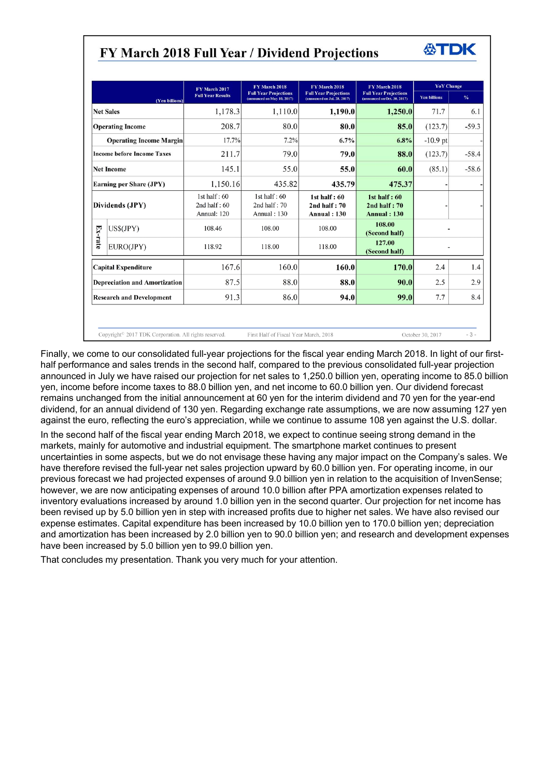## FY March 2018 Full Year / Dividend Projections

*ATDK* 

|         |                                      | FY March 2017                                   | FY March 2018                                               | FY March 2018                                                | FY March 2018                                                | <b>YoY</b> Change   |               |
|---------|--------------------------------------|-------------------------------------------------|-------------------------------------------------------------|--------------------------------------------------------------|--------------------------------------------------------------|---------------------|---------------|
|         | (Yen billions)                       | <b>Full Year Results</b>                        | <b>Full Year Projections</b><br>(announced on May 10, 2017) | <b>Full Year Projections</b><br>(announced on Jul. 28, 2017) | <b>Full Year Projections</b><br>(announced on Oct. 30, 2017) | <b>Yen billions</b> | $\frac{9}{6}$ |
|         | <b>Net Sales</b>                     | 1,178.3                                         | 1,110.0                                                     | 1,190.0                                                      | 1,250.0                                                      | 71.7                | 6.1           |
|         | <b>Operating Income</b>              | 208.7                                           | 80.0                                                        | 80.0                                                         | 85.0                                                         | (123.7)             | $-59.3$       |
|         | <b>Operating Income Margin</b>       | 17.7%                                           | 7.2%                                                        | 6.7%                                                         | 6.8%                                                         | $-10.9$ pt          |               |
|         | <b>Income before Income Taxes</b>    | 211.7                                           | 79.0                                                        | 79.0                                                         | 88.0                                                         | (123.7)             | $-58.4$       |
|         | <b>Net Income</b>                    | 145.1                                           | 55.0                                                        | 55.0                                                         | 60.0                                                         | (85.1)              | $-58.6$       |
|         | <b>Earning per Share (JPY)</b>       | 1,150.16                                        | 435.82                                                      | 435.79                                                       | 475.37                                                       |                     |               |
|         | Dividends (JPY)                      | 1st half: $60$<br>2nd half: $60$<br>Annual: 120 | 1st half: $60$<br>2nd half: $70$<br>Annual: 130             | 1st half: $60$<br>$2nd$ half : $70$<br><b>Annual: 130</b>    | 1st half: $60$<br>$2nd$ half : $70$<br><b>Annual: 130</b>    |                     |               |
|         | US\$(JPY)                            | 108.46                                          | 108.00                                                      | 108.00                                                       | 108.00<br>(Second half)                                      |                     |               |
| Ex-rate | EURO(JPY)                            | 118.92                                          | 118.00                                                      | 118.00                                                       | 127.00<br>(Second half)                                      | $\overline{a}$      |               |
|         | <b>Capital Expenditure</b>           | 167.6                                           | 160.0                                                       | 160.0                                                        | 170.0                                                        | 2.4                 | 1.4           |
|         | <b>Depreciation and Amortization</b> | 87.5                                            | 88.0                                                        | 88.0                                                         | 90.0                                                         | 2.5                 | 2.9           |
|         | <b>Research and Development</b>      | 91.3                                            | 86.0                                                        | 94.0                                                         | 99.0                                                         | 7.7<br>8.4          |               |

Finally, we come to our consolidated full-year projections for the fiscal year ending March 2018. In light of our firsthalf performance and sales trends in the second half, compared to the previous consolidated full-year projection announced in July we have raised our projection for net sales to 1,250.0 billion yen, operating income to 85.0 billion yen, income before income taxes to 88.0 billion yen, and net income to 60.0 billion yen. Our dividend forecast remains unchanged from the initial announcement at 60 yen for the interim dividend and 70 yen for the year-end dividend, for an annual dividend of 130 yen. Regarding exchange rate assumptions, we are now assuming 127 yen against the euro, reflecting the euro's appreciation, while we continue to assume 108 yen against the U.S. dollar.

In the second half of the fiscal year ending March 2018, we expect to continue seeing strong demand in the markets, mainly for automotive and industrial equipment. The smartphone market continues to present uncertainties in some aspects, but we do not envisage these having any major impact on the Company's sales. We have therefore revised the full-year net sales projection upward by 60.0 billion yen. For operating income, in our previous forecast we had projected expenses of around 9.0 billion yen in relation to the acquisition of InvenSense; however, we are now anticipating expenses of around 10.0 billion after PPA amortization expenses related to inventory evaluations increased by around 1.0 billion yen in the second quarter. Our projection for net income has been revised up by 5.0 billion yen in step with increased profits due to higher net sales. We have also revised our expense estimates. Capital expenditure has been increased by 10.0 billion yen to 170.0 billion yen; depreciation and amortization has been increased by 2.0 billion yen to 90.0 billion yen; and research and development expenses have been increased by 5.0 billion yen to 99.0 billion yen.

That concludes my presentation. Thank you very much for your attention.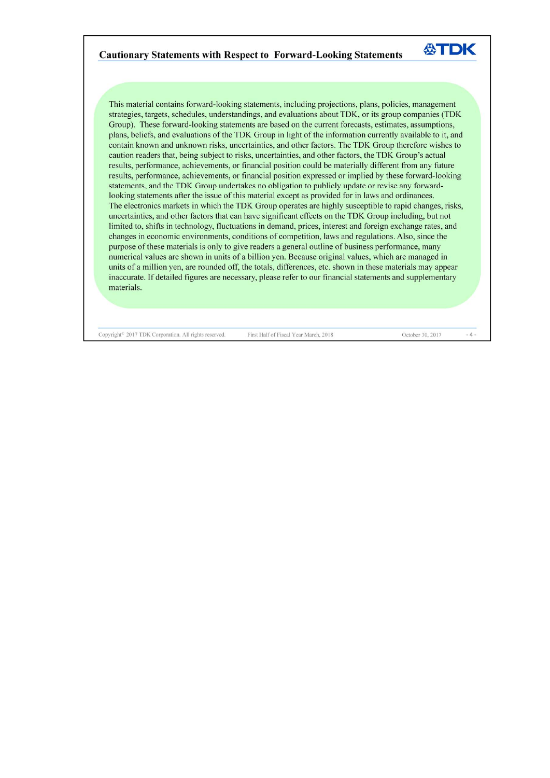## **Cautionary Statements with Respect to Forward-Looking Statements**

This material contains forward-looking statements, including projections, plans, policies, management strategies, targets, schedules, understandings, and evaluations about TDK, or its group companies (TDK Group). These forward-looking statements are based on the current forecasts, estimates, assumptions, plans, beliefs, and evaluations of the TDK Group in light of the information currently available to it, and contain known and unknown risks, uncertainties, and other factors. The TDK Group therefore wishes to caution readers that, being subject to risks, uncertainties, and other factors, the TDK Group's actual results, performance, achievements, or financial position could be materially different from any future results, performance, achievements, or financial position expressed or implied by these forward-looking statements, and the TDK Group undertakes no obligation to publicly update or revise any forwardlooking statements after the issue of this material except as provided for in laws and ordinances. The electronics markets in which the TDK Group operates are highly susceptible to rapid changes, risks, uncertainties, and other factors that can have significant effects on the TDK Group including, but not limited to, shifts in technology, fluctuations in demand, prices, interest and foreign exchange rates, and changes in economic environments, conditions of competition, laws and regulations. Also, since the purpose of these materials is only to give readers a general outline of business performance, many numerical values are shown in units of a billion yen. Because original values, which are managed in units of a million yen, are rounded off, the totals, differences, etc. shown in these materials may appear inaccurate. If detailed figures are necessary, please refer to our financial statements and supplementary materials.

Copyright<sup>®</sup> 2017 TDK Corporation. All rights reserved.

First Half of Fiscal Year March, 2018

October 30, 2017

 $-4-$ 

公TDK